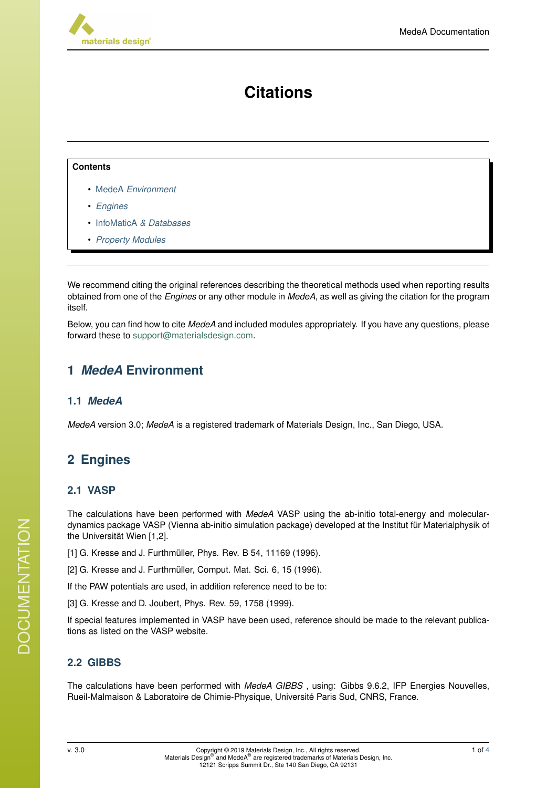

# **Citations**

#### **Contents**

- MedeA *[Environment](#page-0-0)*
- *[Engines](#page-0-1)*
- InfoMaticA *[& Databases](#page-1-0)*
- *[Property Modules](#page-2-0)*

We recommend citing the original references describing the theoretical methods used when reporting results obtained from one of the *Engines* or any other module in *MedeA*, as well as giving the citation for the program itself.

Below, you can find how to cite *MedeA* and included modules appropriately. If you have any questions, please forward these to [support@materialsdesign.com.](mailto:support@materialsdesign.com)

# <span id="page-0-0"></span>**1** *MedeA* **Environment**

# **1.1** *MedeA*

*MedeA* version 3.0; *MedeA* is a registered trademark of Materials Design, Inc., San Diego, USA.

# <span id="page-0-1"></span>**2 Engines**

# **2.1 VASP**

The calculations have been performed with *MedeA* VASP using the ab-initio total-energy and moleculardynamics package VASP (Vienna ab-initio simulation package) developed at the Institut für Materialphysik of the Universität Wien [1,2].

- [1] G. Kresse and J. Furthmüller, Phys. Rev. B 54, 11169 (1996).
- [2] G. Kresse and J. Furthmüller, Comput. Mat. Sci. 6, 15 (1996).

If the PAW potentials are used, in addition reference need to be to:

[3] G. Kresse and D. Joubert, Phys. Rev. 59, 1758 (1999).

If special features implemented in VASP have been used, reference should be made to the relevant publications as listed on the VASP website.

# **2.2 GIBBS**

The calculations have been performed with *MedeA GIBBS* , using: Gibbs 9.6.2, IFP Energies Nouvelles, Rueil-Malmaison & Laboratoire de Chimie-Physique, Universite Paris Sud, CNRS, France. ´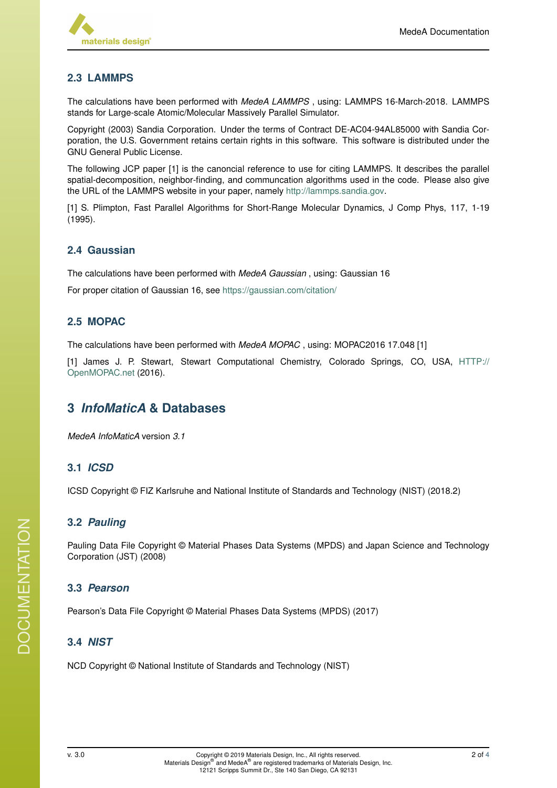

## **2.3 LAMMPS**

The calculations have been performed with *MedeA LAMMPS* , using: LAMMPS 16-March-2018. LAMMPS stands for Large-scale Atomic/Molecular Massively Parallel Simulator.

Copyright (2003) Sandia Corporation. Under the terms of Contract DE-AC04-94AL85000 with Sandia Corporation, the U.S. Government retains certain rights in this software. This software is distributed under the GNU General Public License.

The following JCP paper [1] is the canoncial reference to use for citing LAMMPS. It describes the parallel spatial-decomposition, neighbor-finding, and communcation algorithms used in the code. Please also give the URL of the LAMMPS website in your paper, namely [http://lammps.sandia.gov.](http://lammps.sandia.gov)

[1] S. Plimpton, Fast Parallel Algorithms for Short-Range Molecular Dynamics, J Comp Phys, 117, 1-19 (1995).

#### **2.4 Gaussian**

The calculations have been performed with *MedeA Gaussian* , using: Gaussian 16

For proper citation of Gaussian 16, see <https://gaussian.com/citation/>

#### **2.5 MOPAC**

The calculations have been performed with *MedeA MOPAC* , using: MOPAC2016 17.048 [1]

[1] James J. P. Stewart, Stewart Computational Chemistry, Colorado Springs, CO, USA, [HTTP://](HTTP://OpenMOPAC.net) [OpenMOPAC.net](HTTP://OpenMOPAC.net) (2016).

# <span id="page-1-0"></span>**3** *InfoMaticA* **& Databases**

*MedeA InfoMaticA* version *3.1*

#### **3.1** *ICSD*

ICSD Copyright © FIZ Karlsruhe and National Institute of Standards and Technology (NIST) (2018.2)

#### **3.2** *Pauling*

Pauling Data File Copyright © Material Phases Data Systems (MPDS) and Japan Science and Technology Corporation (JST) (2008)

#### **3.3** *Pearson*

Pearson's Data File Copyright © Material Phases Data Systems (MPDS) (2017)

#### **3.4** *NIST*

NCD Copyright © National Institute of Standards and Technology (NIST)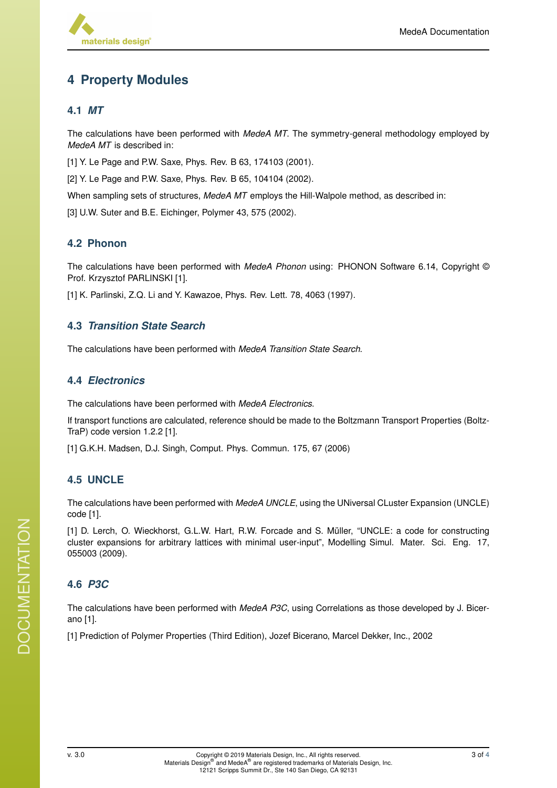# <span id="page-2-0"></span>**4 Property Modules**

#### **4.1** *MT*

The calculations have been performed with *MedeA MT*. The symmetry-general methodology employed by *MedeA MT* is described in:

[1] Y. Le Page and P.W. Saxe, Phys. Rev. B 63, 174103 (2001).

[2] Y. Le Page and P.W. Saxe, Phys. Rev. B 65, 104104 (2002).

When sampling sets of structures, *MedeA MT* employs the Hill-Walpole method, as described in:

[3] U.W. Suter and B.E. Eichinger, Polymer 43, 575 (2002).

## **4.2 Phonon**

The calculations have been performed with *MedeA Phonon* using: PHONON Software 6.14, Copyright © Prof. Krzysztof PARLINSKI [1].

[1] K. Parlinski, Z.Q. Li and Y. Kawazoe, Phys. Rev. Lett. 78, 4063 (1997).

#### **4.3** *Transition State Search*

The calculations have been performed with *MedeA Transition State Search*.

### **4.4** *Electronics*

The calculations have been performed with *MedeA Electronics*.

If transport functions are calculated, reference should be made to the Boltzmann Transport Properties (Boltz-TraP) code version 1.2.2 [1].

[1] G.K.H. Madsen, D.J. Singh, Comput. Phys. Commun. 175, 67 (2006)

# **4.5 UNCLE**

The calculations have been performed with *MedeA UNCLE*, using the UNiversal CLuster Expansion (UNCLE) code [1].

[1] D. Lerch, O. Wieckhorst, G.L.W. Hart, R.W. Forcade and S. Müller, "UNCLE: a code for constructing cluster expansions for arbitrary lattices with minimal user-input", Modelling Simul. Mater. Sci. Eng. 17, 055003 (2009).

# **4.6** *P3C*

The calculations have been performed with *MedeA P3C*, using Correlations as those developed by J. Bicerano [1].

[1] Prediction of Polymer Properties (Third Edition), Jozef Bicerano, Marcel Dekker, Inc., 2002